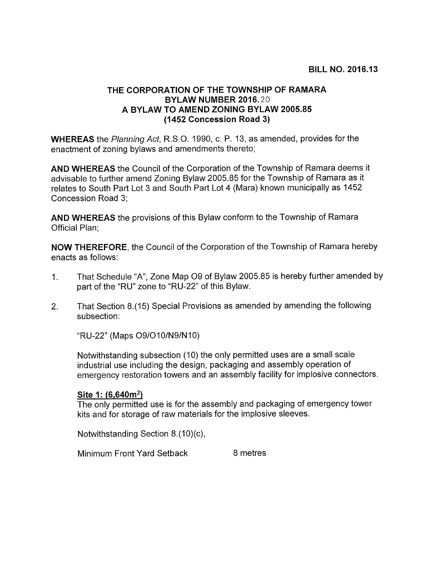# THE CORPORATION OF THE TOWNSHIP OF RAMARA BYLAW NUMBER 2016:20 A BYLAW TO AMEND ZONING BYLAW 2005.85 (1452 Concession Road 3)

WHEREAS the Planning Act, R.S.O. 1990, c. P. 13, as amended, provides for the enactment of zoning bylaws and amendments thereto;

AND WHEREAS the Council of the Corporation of the Township of Ramara deems it advisable to further amend Zoning Bylaw 2005.85 for the Township of Ramara as it relates to South Part Lot 3 and South Part Lot 4 (Mara) known municipally as 1452 Concession Road 3;

AND WHEREAS the provisions of this Bylaw conform to the Township of Ramara Official Plan;

NOW THEREFORE, the Council of the Corporation of the Township of Ramara hereby enacts as follows:

- 1. That Schedule "A", Zone Map 09 of Bylaw 2005.85 is hereby further amended by part of the "RU" zone to "RU-22" of this Bylaw.
- 2. That Section 8.(15) Special Provisions as amended by amending the following subsection:

"RU-22" (Maps 09/O10/N9/N10)

Notwithstanding subsection (10) the only permitted uses are a small scale industrial use including the design, packaging and assembly operation of emergency restoration towers and an assembly facility for implosive connectors.

# Site 1: (6,640m<sup>2</sup>)

The only permitted use is for the assembly and packaging of emergency tower kits and for storage of raw materials for the implosive sleeves.

Notwithstanding Section  $8.(10)(c)$ ,

Minimum Front Yard Setback 8 metres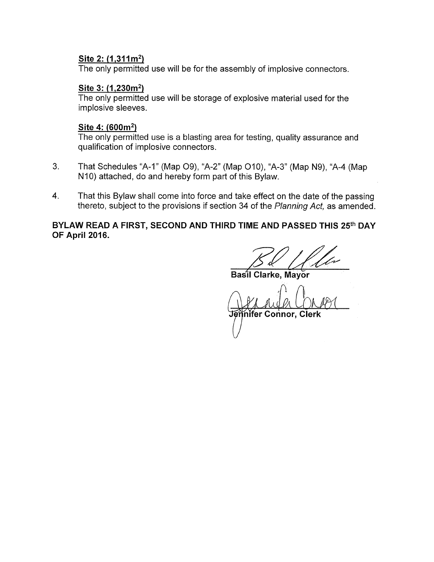### Site 2: (1,311m<sup>2</sup>)

The only permitted use will be for the assembly of implosive connectors.

# Site 3: (1,230m<sup>2</sup>)

The only permitted use will be storage of explosive material used for the implosive sleeves.

### Site 4: (600m<sup>2</sup>)

The only permitted use is a blasting area for testing, quality assurance and qualification of implosive connectors.

- 3. That Schedules "A-i" (Map 09), "A-2" (Map 010), "A-3" (Map N9), "A-4 (Map N<sub>10</sub>) attached, do and hereby form part of this Bylaw.
- 4. That this Bylaw shall come into force and take effect on the date of the passing thereto, subject to the provisions if section 34 of the Planning Act, as amended.

BYLAW READ A FIRST, SECOND AND THIRD TIME AND PASSED THIS 25th DAY OF April 2016.

Basil Clarke, Mayor

D TIME AND PA lennifer Connor, Clerk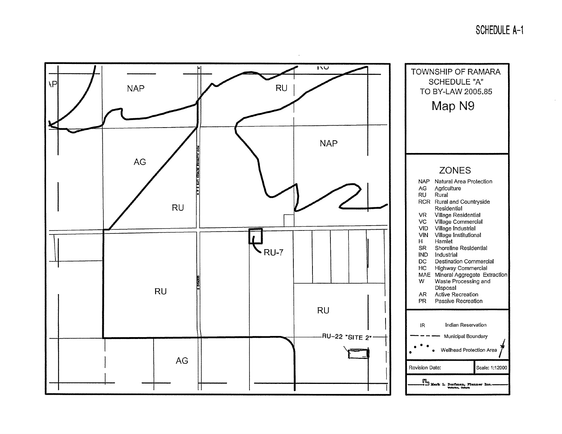SCHEDULE A-i

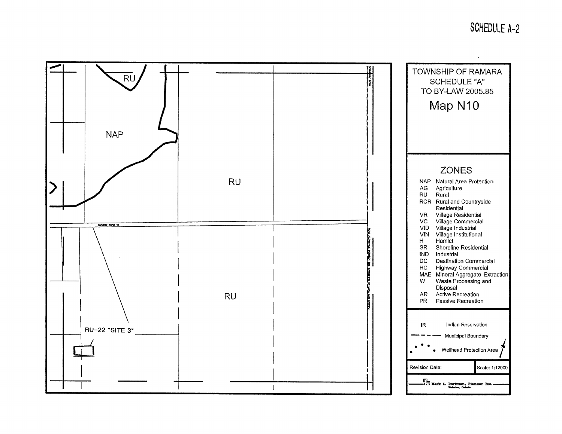# SCHEDULE A-2

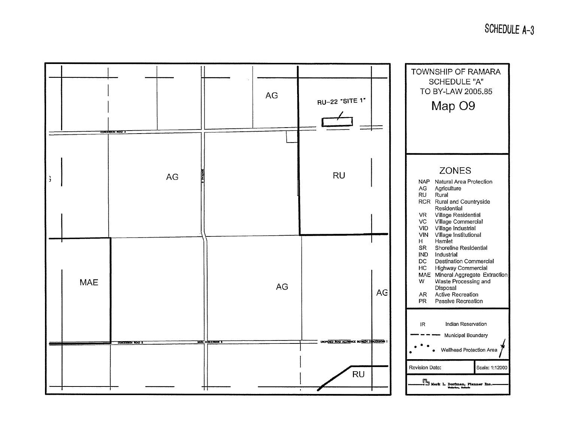